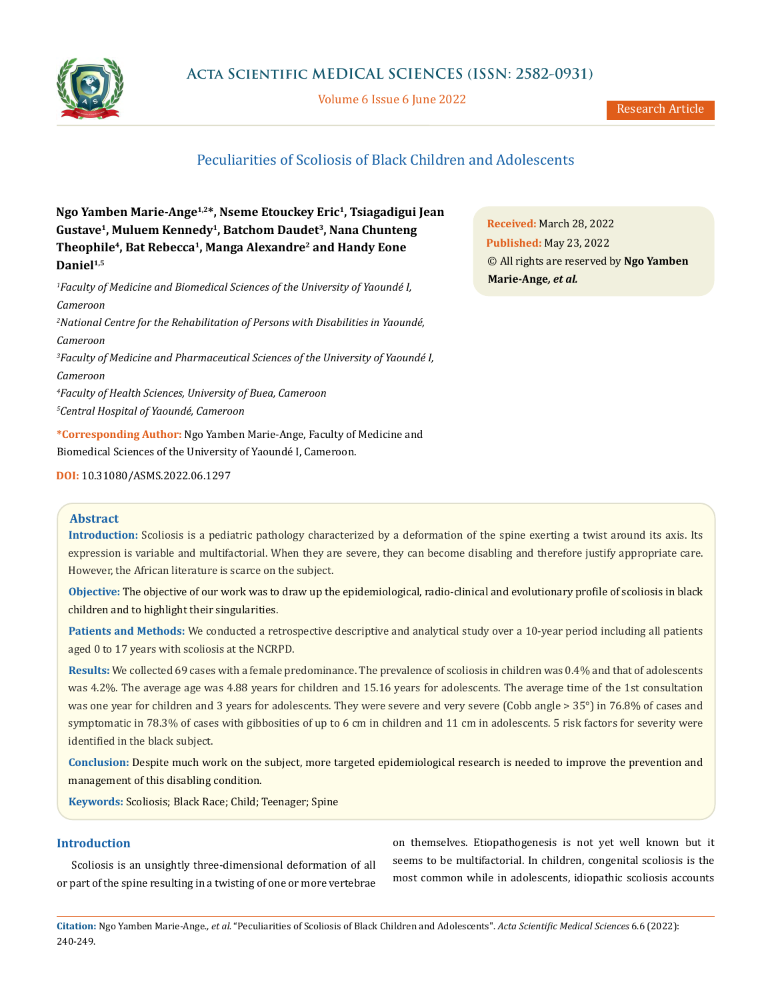

Volume 6 Issue 6 June 2022

Research Article

# Peculiarities of Scoliosis of Black Children and Adolescents

**Ngo Yamben Marie-Ange1,2\*, Nseme Etouckey Eric1, Tsiagadigui Jean Gustave1, Muluem Kennedy1, Batchom Daudet3, Nana Chunteng Theophile4, Bat Rebecca1, Manga Alexandre2 and Handy Eone** Daniel<sup>1,5</sup>

*1 Faculty of Medicine and Biomedical Sciences of the University of Yaoundé I, Cameroon*

 *National Centre for the Rehabilitation of Persons with Disabilities in Yaoundé, Cameroon Faculty of Medicine and Pharmaceutical Sciences of the University of Yaoundé I, Cameroon Faculty of Health Sciences, University of Buea, Cameroon Central Hospital of Yaoundé, Cameroon*

**\*Corresponding Author:** Ngo Yamben Marie-Ange, Faculty of Medicine and Biomedical Sciences of the University of Yaoundé I, Cameroon.

**DOI:** [10.31080/ASMS.2022.06.12](http://actascientific.com/ASMS/pdf/ASMS-06-1297.pdf)97

## **Abstract**

**Introduction:** Scoliosis is a pediatric pathology characterized by a deformation of the spine exerting a twist around its axis. Its expression is variable and multifactorial. When they are severe, they can become disabling and therefore justify appropriate care. However, the African literature is scarce on the subject.

**Objective:** The objective of our work was to draw up the epidemiological, radio-clinical and evolutionary profile of scoliosis in black children and to highlight their singularities.

**Patients and Methods:** We conducted a retrospective descriptive and analytical study over a 10-year period including all patients aged 0 to 17 years with scoliosis at the NCRPD.

**Results:** We collected 69 cases with a female predominance. The prevalence of scoliosis in children was 0.4% and that of adolescents was 4.2%. The average age was 4.88 years for children and 15.16 years for adolescents. The average time of the 1st consultation was one year for children and 3 years for adolescents. They were severe and very severe (Cobb angle > 35°) in 76.8% of cases and symptomatic in 78.3% of cases with gibbosities of up to 6 cm in children and 11 cm in adolescents. 5 risk factors for severity were identified in the black subject.

**Conclusion:** Despite much work on the subject, more targeted epidemiological research is needed to improve the prevention and management of this disabling condition.

**Keywords:** Scoliosis; Black Race; Child; Teenager; Spine

## **Introduction**

Scoliosis is an unsightly three-dimensional deformation of all or part of the spine resulting in a twisting of one or more vertebrae on themselves. Etiopathogenesis is not yet well known but it seems to be multifactorial. In children, congenital scoliosis is the most common while in adolescents, idiopathic scoliosis accounts

**Citation:** Ngo Yamben Marie-Ange*., et al.* "Peculiarities of Scoliosis of Black Children and Adolescents". *Acta Scientific Medical Sciences* 6.6 (2022): 240-249.

**Received:** March 28, 2022 **Published:** May 23, 2022 © All rights are reserved by **Ngo Yamben Marie-Ange***, et al.*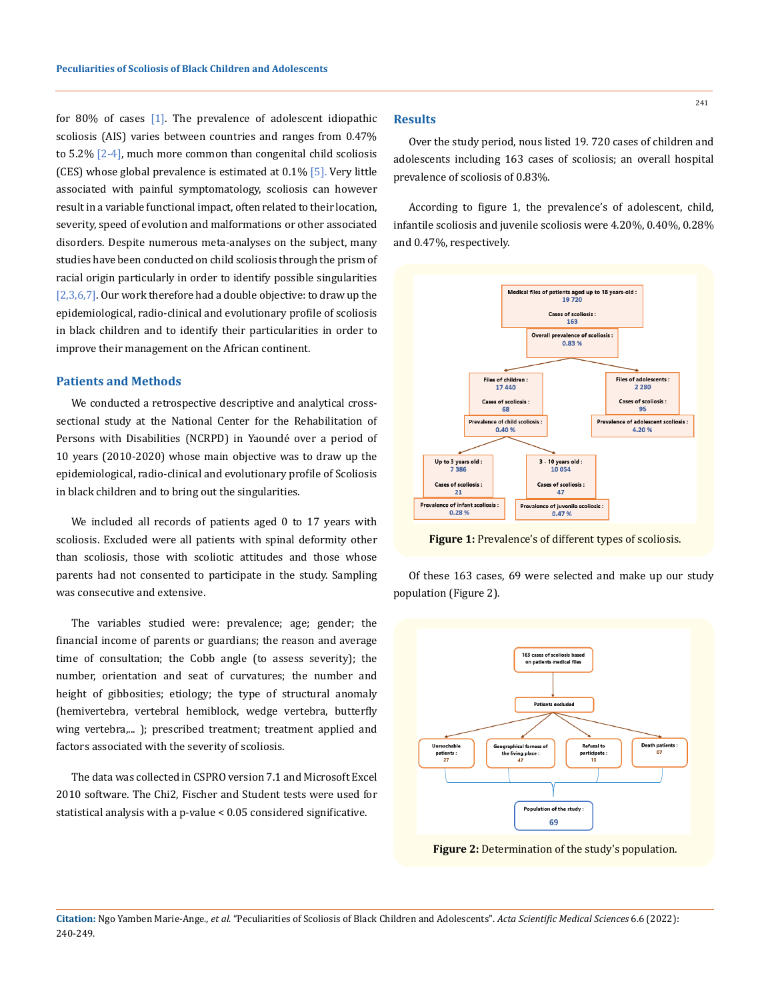for 80% of cases [1]. The prevalence of adolescent idiopathic scoliosis (AIS) varies between countries and ranges from 0.47% to  $5.2\%$   $[2-4]$ , much more common than congenital child scoliosis (CES) whose global prevalence is estimated at  $0.1\%$  [5]. Very little associated with painful symptomatology, scoliosis can however result in a variable functional impact, often related to their location, severity, speed of evolution and malformations or other associated disorders. Despite numerous meta-analyses on the subject, many studies have been conducted on child scoliosis through the prism of racial origin particularly in order to identify possible singularities [2,3,6,7]. Our work therefore had a double objective: to draw up the epidemiological, radio-clinical and evolutionary profile of scoliosis in black children and to identify their particularities in order to improve their management on the African continent.

# **Patients and Methods**

We conducted a retrospective descriptive and analytical crosssectional study at the National Center for the Rehabilitation of Persons with Disabilities (NCRPD) in Yaoundé over a period of 10 years (2010-2020) whose main objective was to draw up the epidemiological, radio-clinical and evolutionary profile of Scoliosis in black children and to bring out the singularities.

We included all records of patients aged 0 to 17 years with scoliosis. Excluded were all patients with spinal deformity other than scoliosis, those with scoliotic attitudes and those whose parents had not consented to participate in the study. Sampling was consecutive and extensive.

The variables studied were: prevalence; age; gender; the financial income of parents or guardians; the reason and average time of consultation; the Cobb angle (to assess severity); the number, orientation and seat of curvatures; the number and height of gibbosities; etiology; the type of structural anomaly (hemivertebra, vertebral hemiblock, wedge vertebra, butterfly wing vertebra,... ); prescribed treatment; treatment applied and factors associated with the severity of scoliosis.

The data was collected in CSPRO version 7.1 and Microsoft Excel 2010 software. The Chi2, Fischer and Student tests were used for statistical analysis with a p-value < 0.05 considered significative.

## **Results**

Over the study period, nous listed 19. 720 cases of children and adolescents including 163 cases of scoliosis; an overall hospital prevalence of scoliosis of 0.83%.

According to figure 1, the prevalence's of adolescent, child, infantile scoliosis and juvenile scoliosis were 4.20%, 0.40%, 0.28% and 0.47%, respectively.



**Figure 1:** Prevalence's of different types of scoliosis.

Of these 163 cases, 69 were selected and make up our study population (Figure 2).



**Figure 2:** Determination of the study's population.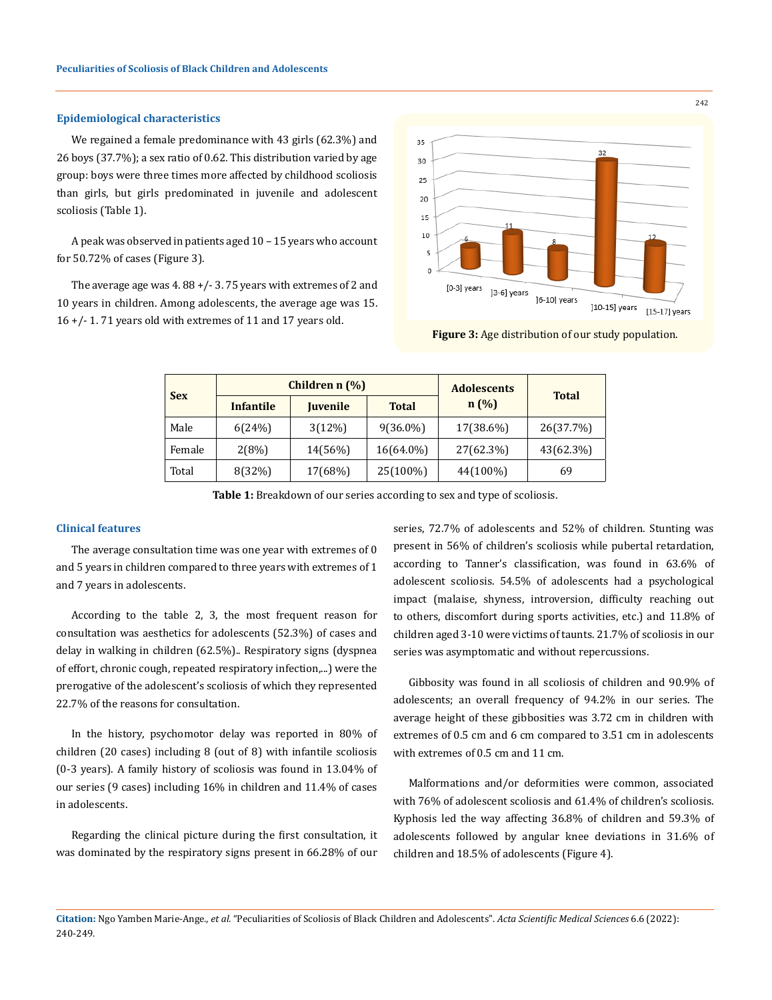#### **Epidemiological characteristics**

We regained a female predominance with 43 girls (62.3%) and 26 boys (37.7%); a sex ratio of 0.62. This distribution varied by age group: boys were three times more affected by childhood scoliosis than girls, but girls predominated in juvenile and adolescent scoliosis (Table 1).

A peak was observed in patients aged 10 – 15 years who account for 50.72% of cases (Figure 3).

The average age was  $4.88 + / -3.75$  years with extremes of 2 and 10 years in children. Among adolescents, the average age was 15. 16 +/- 1. 71 years old with extremes of 11 and 17 years old.



**Figure 3:** Age distribution of our study population.

| <b>Sex</b> | Children n (%)   |                 |              | <b>Adolescents</b> | <b>Total</b> |  |
|------------|------------------|-----------------|--------------|--------------------|--------------|--|
|            | <b>Infantile</b> | <b>Juvenile</b> | <b>Total</b> | n(%)               |              |  |
| Male       | 6(24%)           | 3(12%)          | $9(36.0\%)$  | 17(38.6%)          | 26(37.7%)    |  |
| Female     | 2(8%)            | 14(56%)         | 16(64.0%)    | 27(62.3%)          | 43(62.3%)    |  |
| Total      | 8(32%)           | 17(68%)         | 25(100%)     | 44(100%)           | 69           |  |

**Table 1:** Breakdown of our series according to sex and type of scoliosis.

## **Clinical features**

The average consultation time was one year with extremes of 0 and 5 years in children compared to three years with extremes of 1 and 7 years in adolescents.

According to the table 2, 3, the most frequent reason for consultation was aesthetics for adolescents (52.3%) of cases and delay in walking in children (62.5%).. Respiratory signs (dyspnea of effort, chronic cough, repeated respiratory infection,...) were the prerogative of the adolescent's scoliosis of which they represented 22.7% of the reasons for consultation.

In the history, psychomotor delay was reported in 80% of children (20 cases) including 8 (out of 8) with infantile scoliosis (0-3 years). A family history of scoliosis was found in 13.04% of our series (9 cases) including 16% in children and 11.4% of cases in adolescents.

Regarding the clinical picture during the first consultation, it was dominated by the respiratory signs present in 66.28% of our series, 72.7% of adolescents and 52% of children. Stunting was present in 56% of children's scoliosis while pubertal retardation, according to Tanner's classification, was found in 63.6% of adolescent scoliosis. 54.5% of adolescents had a psychological impact (malaise, shyness, introversion, difficulty reaching out to others, discomfort during sports activities, etc.) and 11.8% of children aged 3-10 were victims of taunts. 21.7% of scoliosis in our series was asymptomatic and without repercussions.

Gibbosity was found in all scoliosis of children and 90.9% of adolescents; an overall frequency of 94.2% in our series. The average height of these gibbosities was 3.72 cm in children with extremes of 0.5 cm and 6 cm compared to 3.51 cm in adolescents with extremes of 0.5 cm and 11 cm.

Malformations and/or deformities were common, associated with 76% of adolescent scoliosis and 61.4% of children's scoliosis. Kyphosis led the way affecting 36.8% of children and 59.3% of adolescents followed by angular knee deviations in 31.6% of children and 18.5% of adolescents (Figure 4).

**Citation:** Ngo Yamben Marie-Ange*., et al.* "Peculiarities of Scoliosis of Black Children and Adolescents". *Acta Scientific Medical Sciences* 6.6 (2022): 240-249.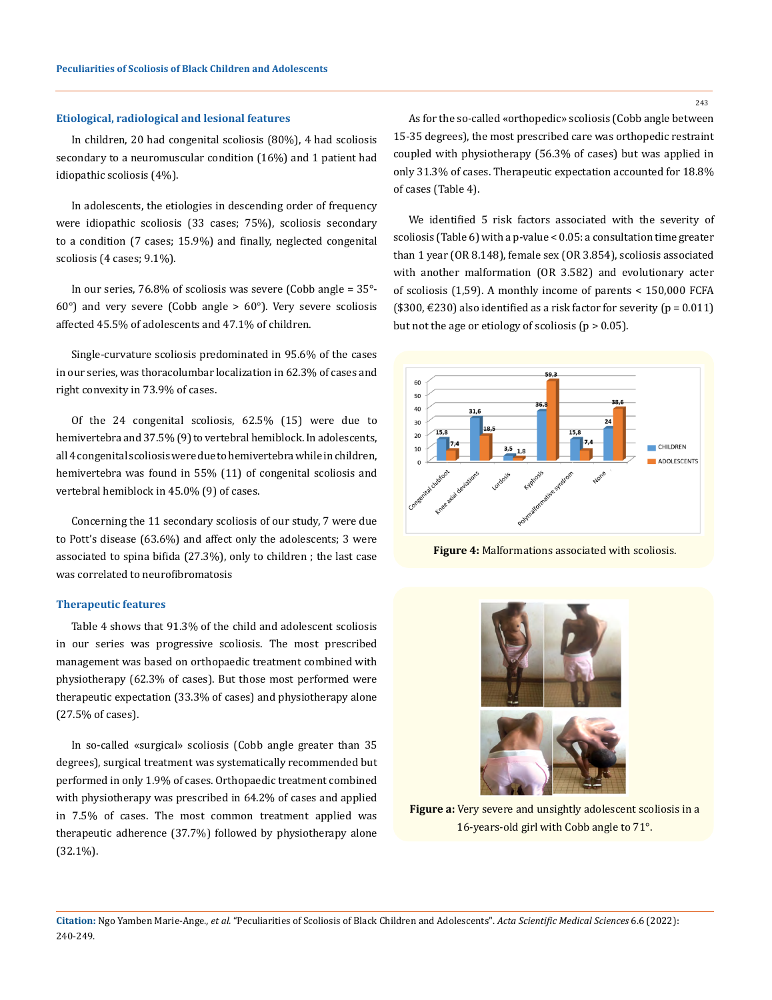## **Etiological, radiological and lesional features**

In children, 20 had congenital scoliosis (80%), 4 had scoliosis secondary to a neuromuscular condition (16%) and 1 patient had idiopathic scoliosis (4%).

In adolescents, the etiologies in descending order of frequency were idiopathic scoliosis (33 cases; 75%), scoliosis secondary to a condition (7 cases; 15.9%) and finally, neglected congenital scoliosis (4 cases; 9.1%).

In our series, 76.8% of scoliosis was severe (Cobb angle = 35°-  $60^\circ$ ) and very severe (Cobb angle >  $60^\circ$ ). Very severe scoliosis affected 45.5% of adolescents and 47.1% of children.

Single-curvature scoliosis predominated in 95.6% of the cases in our series, was thoracolumbar localization in 62.3% of cases and right convexity in 73.9% of cases.

Of the 24 congenital scoliosis, 62.5% (15) were due to hemivertebra and 37.5% (9) to vertebral hemiblock. In adolescents, all 4 congenital scoliosis were due to hemivertebra while in children, hemivertebra was found in 55% (11) of congenital scoliosis and vertebral hemiblock in 45.0% (9) of cases.

Concerning the 11 secondary scoliosis of our study, 7 were due to Pott's disease (63.6%) and affect only the adolescents; 3 were associated to spina bifida (27.3%), only to children ; the last case was correlated to neurofibromatosis

## **Therapeutic features**

Table 4 shows that 91.3% of the child and adolescent scoliosis in our series was progressive scoliosis. The most prescribed management was based on orthopaedic treatment combined with physiotherapy (62.3% of cases). But those most performed were therapeutic expectation (33.3% of cases) and physiotherapy alone (27.5% of cases).

In so-called «surgical» scoliosis (Cobb angle greater than 35 degrees), surgical treatment was systematically recommended but performed in only 1.9% of cases. Orthopaedic treatment combined with physiotherapy was prescribed in 64.2% of cases and applied in 7.5% of cases. The most common treatment applied was therapeutic adherence (37.7%) followed by physiotherapy alone (32.1%).

As for the so-called «orthopedic» scoliosis (Cobb angle between 15-35 degrees), the most prescribed care was orthopedic restraint coupled with physiotherapy (56.3% of cases) but was applied in only 31.3% of cases. Therapeutic expectation accounted for 18.8% of cases (Table 4).

We identified 5 risk factors associated with the severity of scoliosis (Table 6) with a p-value < 0.05: a consultation time greater than 1 year (OR 8.148), female sex (OR 3.854), scoliosis associated with another malformation (OR 3.582) and evolutionary acter of scoliosis (1,59). A monthly income of parents < 150,000 FCFA (\$300,  $\in$ 230) also identified as a risk factor for severity ( $p = 0.011$ ) but not the age or etiology of scoliosis ( $p > 0.05$ ).



**Figure 4:** Malformations associated with scoliosis.



**Figure a:** Very severe and unsightly adolescent scoliosis in a 16-years-old girl with Cobb angle to 71°.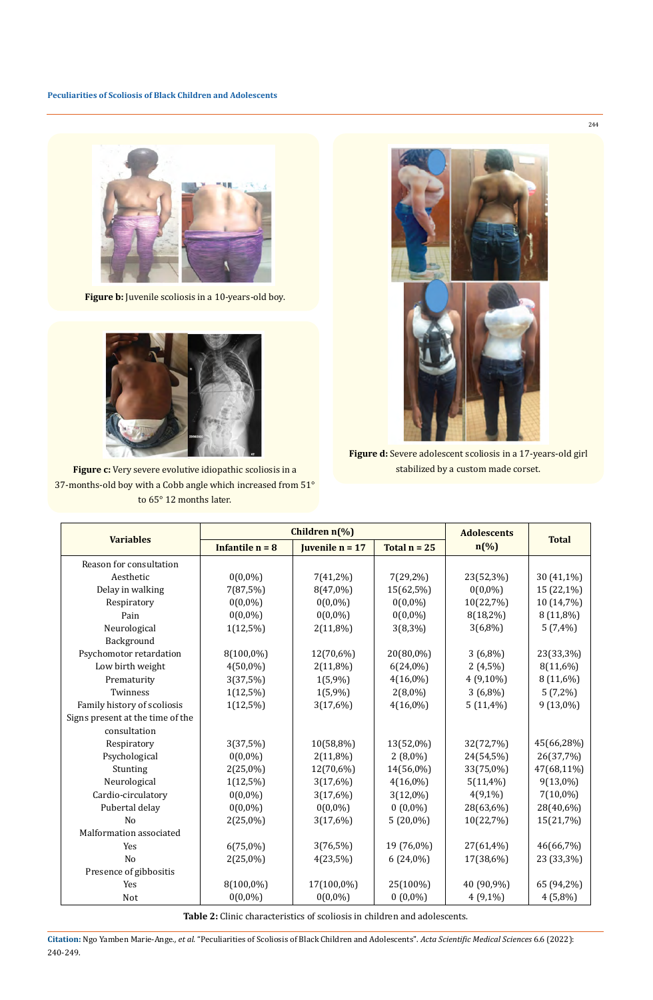

**Figure b:** Juvenile scoliosis in a 10-years-old boy.



**Figure c:** Very severe evolutive idiopathic scoliosis in a 37-months-old boy with a Cobb angle which increased from 51° to 65° 12 months later.



**Figure d:** Severe adolescent scoliosis in a 17-years-old girl stabilized by a custom made corset.

|                                  | Children n(%)     |                   |                | <b>Adolescents</b> |              |
|----------------------------------|-------------------|-------------------|----------------|--------------------|--------------|
| <b>Variables</b>                 | Infantile $n = 8$ | Juvenile $n = 17$ | Total $n = 25$ | $n\left(\%\right)$ | <b>Total</b> |
| Reason for consultation          |                   |                   |                |                    |              |
| Aesthetic                        | $0(0,0\%)$        | $7(41,2\%)$       | $7(29,2\%)$    | 23(52,3%)          | 30 (41,1%)   |
| Delay in walking                 | 7(87,5%)          | 8(47,0%)          | 15(62,5%)      | $0(0,0\%)$         | 15 (22,1%)   |
| Respiratory                      | $0(0,0\%)$        | $0(0,0\%)$        | $0(0,0\%)$     | 10(22,7%)          | 10 (14,7%)   |
| Pain                             | $0(0,0\%)$        | $0(0,0\%)$        | $0(0,0\%)$     | $8(18,2\%)$        | 8 (11,8%)    |
| Neurological                     | $1(12,5\%)$       | $2(11,8\%)$       | $3(8,3\%)$     | $3(6,8\%)$         | $5(7,4\%)$   |
| Background                       |                   |                   |                |                    |              |
| Psychomotor retardation          | 8(100,0%)         | 12(70,6%)         | 20(80,0%)      | $3(6,8\%)$         | 23(33,3%)    |
| Low birth weight                 | $4(50,0\%)$       | $2(11,8\%)$       | $6(24,0\%)$    | $2(4,5\%)$         | 8(11,6%)     |
| Prematurity                      | 3(37,5%)          | 1(5,9%)           | $4(16,0\%)$    | 4 (9,10%)          | 8 (11,6%)    |
| Twinness                         | $1(12,5\%)$       | 1(5,9%)           | $2(8,0\%)$     | $3(6,8\%)$         | $5(7,2\%)$   |
| Family history of scoliosis      | $1(12,5\%)$       | 3(17,6%)          | $4(16,0\%)$    | $5(11,4\%)$        | 9 (13,0%)    |
| Signs present at the time of the |                   |                   |                |                    |              |
| consultation                     |                   |                   |                |                    |              |
| Respiratory                      | 3(37,5%)          | 10(58,8%)         | 13(52,0%)      | 32(72,7%)          | 45(66,28%)   |
| Psychological                    | $0(0,0\%)$        | $2(11,8\%)$       | $2(8,0\%)$     | 24(54,5%)          | 26(37,7%)    |
| Stunting                         | 2(25,0%)          | 12(70,6%)         | 14(56,0%)      | 33(75,0%)          | 47(68,11%)   |
| Neurological                     | $1(12,5\%)$       | 3(17,6%)          | $4(16,0\%)$    | $5(11,4\%)$        | $9(13,0\%)$  |
| Cardio-circulatory               | $0(0,0\%)$        | 3(17,6%)          | $3(12,0\%)$    | $4(9,1\%)$         | $7(10,0\%)$  |
| Pubertal delay                   | $0(0,0\%)$        | $0(0,0\%)$        | $0(0,0\%)$     | 28(63,6%)          | 28(40,6%)    |
| N <sub>0</sub>                   | $2(25,0\%)$       | 3(17,6%)          | $5(20,0\%)$    | 10(22,7%)          | 15(21,7%)    |
| Malformation associated          |                   |                   |                |                    |              |
| Yes                              | $6(75,0\%)$       | $3(76,5\%)$       | 19 (76,0%)     | 27(61,4%)          | 46(66,7%)    |
| N <sub>0</sub>                   | 2(25,0%)          | 4(23,5%)          | $6(24,0\%)$    | 17(38,6%)          | 23 (33,3%)   |
| Presence of gibbositis           |                   |                   |                |                    |              |
| <b>Yes</b>                       | 8(100,0%)         | 17(100,0%)        | 25(100%)       | 40 (90,9%)         | 65 (94,2%)   |
| <b>Not</b>                       | $0(0,0\%)$        | $0(0,0\%)$        | $0(0,0\%)$     | $4(9,1\%)$         | $4(5,8\%)$   |

**Table 2:** Clinic characteristics of scoliosis in children and adolescents.

**Citation:** Ngo Yamben Marie-Ange*., et al.* "Peculiarities of Scoliosis of Black Children and Adolescents". *Acta Scientific Medical Sciences* 6.6 (2022): 240-249.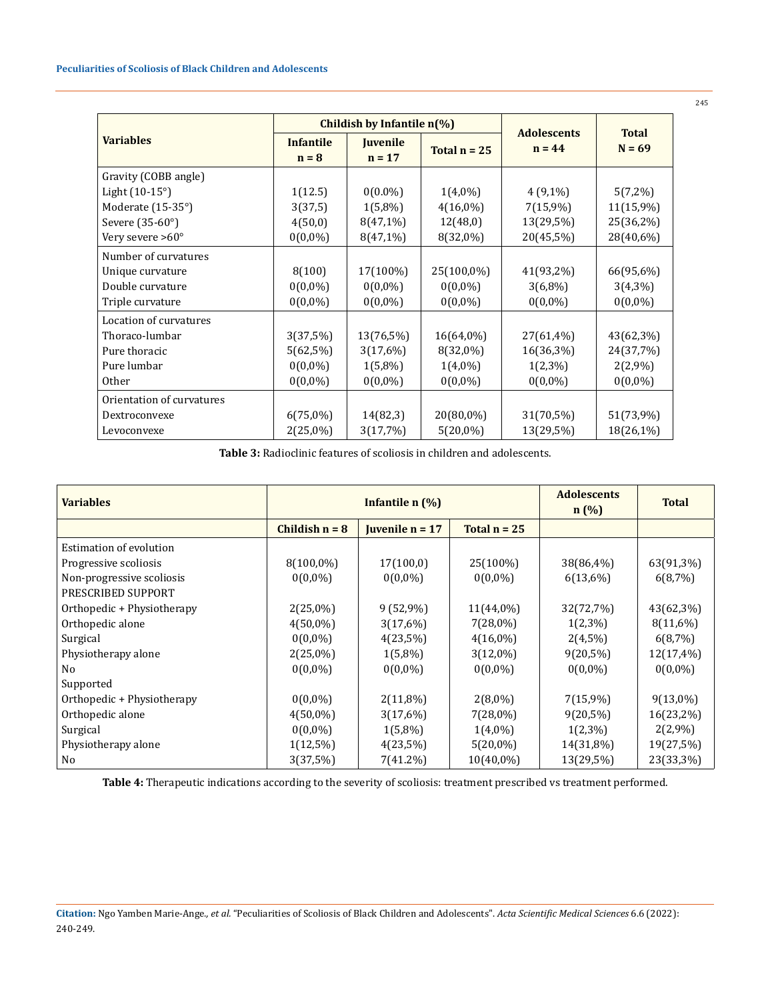|                           |                             | Childish by Infantile $n(\%)$ |                          |                                |                          |  |
|---------------------------|-----------------------------|-------------------------------|--------------------------|--------------------------------|--------------------------|--|
| <b>Variables</b>          | <b>Infantile</b><br>$n = 8$ | <b>Juvenile</b><br>$n = 17$   | Total $n = 25$           | <b>Adolescents</b><br>$n = 44$ | <b>Total</b><br>$N = 69$ |  |
| Gravity (COBB angle)      |                             |                               |                          |                                |                          |  |
| Light $(10-15^{\circ})$   | 1(12.5)                     | $0(0.0\%)$                    | $1(4,0\%)$               | $4(9,1\%)$                     | $5(7,2\%)$               |  |
| Moderate (15-35°)         | 3(37,5)                     | $1(5,8\%)$                    | $4(16,0\%)$              | $7(15,9\%)$                    | 11(15,9%)                |  |
| Severe (35-60°)           | 4(50,0)                     | 8(47,1%)                      | 12(48,0)                 | 13(29,5%)                      | 25(36,2%)                |  |
| Very severe $>60^\circ$   | $0(0,0\%)$                  | $8(47,1\%)$                   | 8(32,0%)                 | 20(45,5%)                      | 28(40,6%)                |  |
| Number of curvatures      |                             |                               |                          |                                |                          |  |
| Unique curvature          | 8(100)                      | 17(100%)                      | 25(100,0%)               | 41(93,2%)                      | 66(95,6%)                |  |
| Double curvature          | $0(0,0\%)$                  | $0(0,0\%)$                    | $0(0,0\%)$               | $3(6,8\%)$                     | $3(4,3\%)$               |  |
| Triple curvature          | $0(0,0\%)$                  | $0(0,0\%)$                    | $0(0,0\%)$               | $0(0,0\%)$                     | $0(0,0\%)$               |  |
| Location of curvatures    |                             |                               |                          |                                |                          |  |
| Thoraco-lumbar            | 3(37,5%)                    | 13(76,5%)                     | 16(64,0%)                | 27(61,4%)                      | 43(62,3%)                |  |
| Pure thoracic             | $5(62,5\%)$                 | 3(17,6%)                      | $8(32,0\%)$              | 16(36,3%)                      | 24(37,7%)                |  |
| Pure lumbar               | $0(0,0\%)$                  | $1(5,8\%)$                    | $1(4,0\%)$               | $1(2,3\%)$                     | 2(2,9%)                  |  |
| <b>Other</b>              | $0(0,0\%)$                  | $0(0,0\%)$                    | $0(0,0\%)$<br>$0(0,0\%)$ |                                | $0(0,0\%)$               |  |
| Orientation of curvatures |                             |                               |                          |                                |                          |  |
| Dextroconvexe             | $6(75,0\%)$                 | 14(82,3)                      | 20(80,0%)                | 31(70,5%)                      | 51(73,9%)                |  |
| Levoconvexe               | $2(25,0\%)$                 | 3(17,7%)                      | $5(20,0\%)$              | 13(29,5%)                      | 18(26,1%)                |  |

**Table 3:** Radioclinic features of scoliosis in children and adolescents.

| <b>Variables</b>           | Infantile $n$ $(\%)$ |                           |                | <b>Adolescents</b><br>n(%) | <b>Total</b> |
|----------------------------|----------------------|---------------------------|----------------|----------------------------|--------------|
|                            | Childish $n = 8$     | <b>I</b> uvenile $n = 17$ | Total $n = 25$ |                            |              |
| Estimation of evolution    |                      |                           |                |                            |              |
| Progressive scoliosis      | $8(100,0\%)$         | 17(100,0)                 | 25(100%)       | 38(86,4%)                  | 63(91,3%)    |
| Non-progressive scoliosis  | $0(0,0\%)$           | $0(0,0\%)$                | $0(0,0\%)$     | 6(13,6%)                   | 6(8,7%)      |
| PRESCRIBED SUPPORT         |                      |                           |                |                            |              |
| Orthopedic + Physiotherapy | $2(25,0\%)$          | $9(52,9\%)$               | 11(44,0%)      | 32(72,7%)                  | 43(62,3%)    |
| Orthopedic alone           | $4(50,0\%)$          | 3(17,6%)                  | $7(28,0\%)$    | $1(2,3\%)$                 | 8(11,6%)     |
| Surgical                   | $0(0,0\%)$           | $4(23,5\%)$               | $4(16,0\%)$    | $2(4,5\%)$                 | 6(8,7%)      |
| Physiotherapy alone        | $2(25,0\%)$          | $1(5,8\%)$                | $3(12,0\%)$    | $9(20,5\%)$                | 12(17,4%     |
| No                         | $0(0,0\%)$           | $0(0,0\%)$                | $0(0,0\%)$     | $0(0,0\%)$                 | $0(0,0\%)$   |
| Supported                  |                      |                           |                |                            |              |
| Orthopedic + Physiotherapy | $0(0,0\%)$           | 2(11,8%)                  | $2(8,0\%)$     | $7(15,9\%)$                | $9(13,0\%)$  |
| Orthopedic alone           | $4(50,0\%)$          | 3(17,6%)                  | 7(28,0%)       | $9(20,5\%)$                | 16(23,2%)    |
| Surgical                   | $0(0,0\%)$           | $1(5,8\%)$                | $1(4,0\%)$     | $1(2,3\%)$                 | 2(2,9%       |
| Physiotherapy alone        | $1(12,5\%)$          | 4(23,5%)                  | $5(20,0\%)$    | 14(31,8%)                  | 19(27,5%)    |
| No                         | 3(37,5%)             | 7(41.2%)                  | $10(40,0\%)$   | 13(29,5%)                  | 23(33,3%)    |

**Table 4:** Therapeutic indications according to the severity of scoliosis: treatment prescribed vs treatment performed.

**Citation:** Ngo Yamben Marie-Ange*., et al.* "Peculiarities of Scoliosis of Black Children and Adolescents". *Acta Scientific Medical Sciences* 6.6 (2022): 240-249.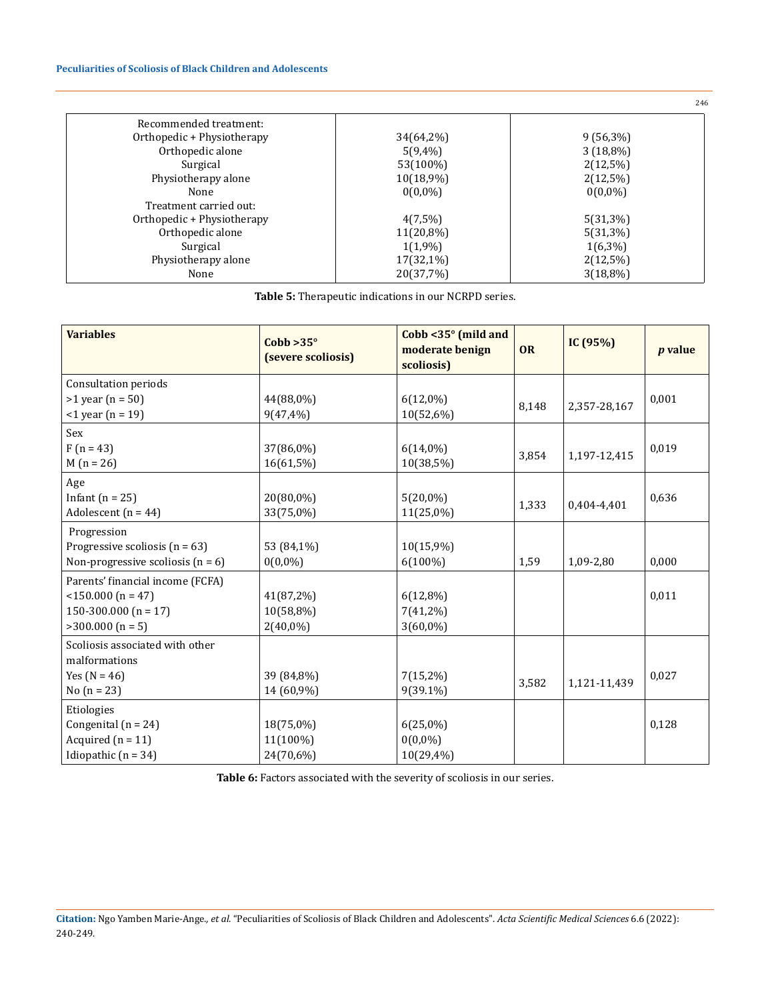# **Peculiarities of Scoliosis of Black Children and Adolescents**

|                            |            | 246         |
|----------------------------|------------|-------------|
| Recommended treatment:     |            |             |
| Orthopedic + Physiotherapy | 34(64,2%)  | $9(56,3\%)$ |
| Orthopedic alone           | $5(9,4\%)$ | $3(18,8\%)$ |
| Surgical                   | 53(100%)   | $2(12,5\%)$ |
| Physiotherapy alone        | 10(18,9%)  | $2(12,5\%)$ |
| None                       | $0(0,0\%)$ | $0(0,0\%)$  |
| Treatment carried out:     |            |             |
| Orthopedic + Physiotherapy | $4(7,5\%)$ | $5(31,3\%)$ |
| Orthopedic alone           | 11(20,8%)  | $5(31,3\%)$ |
| Surgical                   | 1(1,9%)    | $1(6,3\%)$  |
| Physiotherapy alone        | 17(32,1%)  | $2(12,5\%)$ |
| None                       | 20(37,7%)  | $3(18,8\%)$ |

| <b>Table 5:</b> Therapeutic indications in our NCRPD series. |  |
|--------------------------------------------------------------|--|
|--------------------------------------------------------------|--|

| <b>Variables</b>                      | $Cobb > 35^\circ$<br>(severe scoliosis) | Cobb $<$ 35 $^{\circ}$ (mild and<br>moderate benign<br>scoliosis) | <b>OR</b> | IC $(95%)$   | <i>p</i> value |
|---------------------------------------|-----------------------------------------|-------------------------------------------------------------------|-----------|--------------|----------------|
| Consultation periods                  |                                         |                                                                   |           |              |                |
| $>1$ year (n = 50)                    | 44(88,0%)                               | $6(12,0\%)$                                                       | 8,148     | 2,357-28,167 | 0,001          |
| $-1$ year (n = 19)                    | $9(47, 4\%)$                            | 10(52,6%)                                                         |           |              |                |
| Sex                                   |                                         |                                                                   |           |              |                |
| $F(n = 43)$                           | 37(86,0%)                               | $6(14,0\%)$                                                       | 3,854     | 1,197-12,415 | 0,019          |
| $M(n = 26)$                           | 16(61,5%)                               | 10(38,5%)                                                         |           |              |                |
| Age                                   |                                         |                                                                   |           |              |                |
| Infant $(n = 25)$                     | 20(80,0%)                               | $5(20,0\%)$                                                       | 1,333     | 0,404-4,401  | 0,636          |
| Adolescent ( $n = 44$ )               | 33(75,0%)                               | 11(25,0%)                                                         |           |              |                |
| Progression                           |                                         |                                                                   |           |              |                |
| Progressive scoliosis ( $n = 63$ )    | 53 (84,1%)                              | 10(15,9%)                                                         |           |              |                |
| Non-progressive scoliosis ( $n = 6$ ) | $0(0,0\%)$                              | $6(100\%)$                                                        | 1,59      | 1,09-2,80    | 0,000          |
| Parents' financial income (FCFA)      |                                         |                                                                   |           |              |                |
| $<$ 150.000 (n = 47)                  | 41(87,2%)                               | 6(12,8%)                                                          |           |              | 0,011          |
| 150-300.000 ( $n = 17$ )              | 10(58,8%)                               | $7(41,2\%)$                                                       |           |              |                |
| $>300.000$ (n = 5)                    | $2(40,0\%)$                             | 3(60,0%)                                                          |           |              |                |
| Scoliosis associated with other       |                                         |                                                                   |           |              |                |
| malformations                         |                                         |                                                                   |           |              |                |
| Yes $(N = 46)$                        | 39 (84,8%)                              | $7(15,2\%)$                                                       | 3,582     | 1,121-11,439 | 0,027          |
| No $(n = 23)$                         | 14 (60,9%)                              | 9(39.1%)                                                          |           |              |                |
| Etiologies                            |                                         |                                                                   |           |              |                |
| Congenital ( $n = 24$ )               | 18(75,0%)                               | $6(25,0\%)$                                                       |           |              | 0,128          |
| Acquired $(n = 11)$                   | 11(100%)                                | $0(0,0\%)$                                                        |           |              |                |
| Idiopathic $(n = 34)$                 | 24(70,6%)                               | 10(29,4%)                                                         |           |              |                |

**Table 6:** Factors associated with the severity of scoliosis in our series.

**Citation:** Ngo Yamben Marie-Ange*., et al.* "Peculiarities of Scoliosis of Black Children and Adolescents". *Acta Scientific Medical Sciences* 6.6 (2022): 240-249.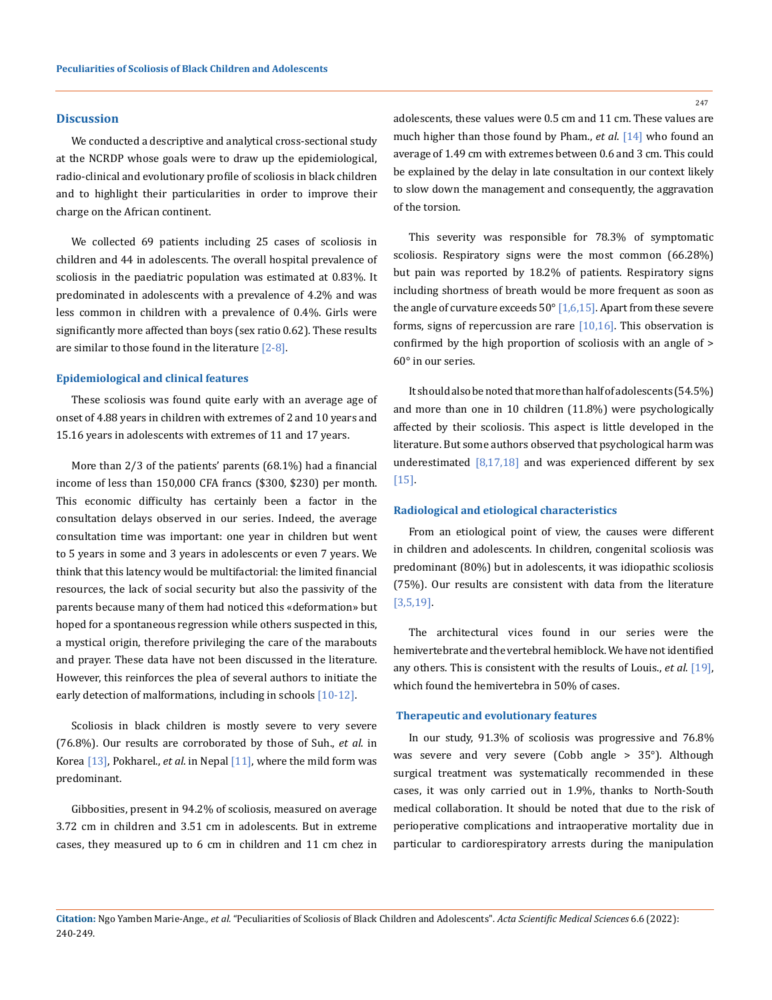#### **Discussion**

We conducted a descriptive and analytical cross-sectional study at the NCRDP whose goals were to draw up the epidemiological, radio-clinical and evolutionary profile of scoliosis in black children and to highlight their particularities in order to improve their charge on the African continent.

We collected 69 patients including 25 cases of scoliosis in children and 44 in adolescents. The overall hospital prevalence of scoliosis in the paediatric population was estimated at 0.83%. It predominated in adolescents with a prevalence of 4.2% and was less common in children with a prevalence of 0.4%. Girls were significantly more affected than boys (sex ratio 0.62). These results are similar to those found in the literature [2-8].

#### **Epidemiological and clinical features**

These scoliosis was found quite early with an average age of onset of 4.88 years in children with extremes of 2 and 10 years and 15.16 years in adolescents with extremes of 11 and 17 years.

More than 2/3 of the patients' parents (68.1%) had a financial income of less than 150,000 CFA francs (\$300, \$230) per month. This economic difficulty has certainly been a factor in the consultation delays observed in our series. Indeed, the average consultation time was important: one year in children but went to 5 years in some and 3 years in adolescents or even 7 years. We think that this latency would be multifactorial: the limited financial resources, the lack of social security but also the passivity of the parents because many of them had noticed this «deformation» but hoped for a spontaneous regression while others suspected in this, a mystical origin, therefore privileging the care of the marabouts and prayer. These data have not been discussed in the literature. However, this reinforces the plea of several authors to initiate the early detection of malformations, including in schools [10-12].

Scoliosis in black children is mostly severe to very severe (76.8%). Our results are corroborated by those of Suh., *et al*. in Korea [13], Pokharel., *et al*. in Nepal [11], where the mild form was predominant.

Gibbosities, present in 94.2% of scoliosis, measured on average 3.72 cm in children and 3.51 cm in adolescents. But in extreme cases, they measured up to 6 cm in children and 11 cm chez in adolescents, these values were 0.5 cm and 11 cm. These values are much higher than those found by Pham., *et al*. [14] who found an average of 1.49 cm with extremes between 0.6 and 3 cm. This could be explained by the delay in late consultation in our context likely to slow down the management and consequently, the aggravation of the torsion.

This severity was responsible for 78.3% of symptomatic scoliosis. Respiratory signs were the most common (66.28%) but pain was reported by 18.2% of patients. Respiratory signs including shortness of breath would be more frequent as soon as the angle of curvature exceeds 50° [1,6,15]. Apart from these severe forms, signs of repercussion are rare  $[10,16]$ . This observation is confirmed by the high proportion of scoliosis with an angle of > 60° in our series.

It should also be noted that more than half of adolescents (54.5%) and more than one in 10 children (11.8%) were psychologically affected by their scoliosis. This aspect is little developed in the literature. But some authors observed that psychological harm was underestimated  $[8,17,18]$  and was experienced different by sex [15].

#### **Radiological and etiological characteristics**

From an etiological point of view, the causes were different in children and adolescents. In children, congenital scoliosis was predominant (80%) but in adolescents, it was idiopathic scoliosis (75%). Our results are consistent with data from the literature [3,5,19].

The architectural vices found in our series were the hemivertebrate and the vertebral hemiblock. We have not identified any others. This is consistent with the results of Louis., *et al*. [19], which found the hemivertebra in 50% of cases.

#### **Therapeutic and evolutionary features**

In our study, 91.3% of scoliosis was progressive and 76.8% was severe and very severe (Cobb angle > 35°). Although surgical treatment was systematically recommended in these cases, it was only carried out in 1.9%, thanks to North-South medical collaboration. It should be noted that due to the risk of perioperative complications and intraoperative mortality due in particular to cardiorespiratory arrests during the manipulation

**Citation:** Ngo Yamben Marie-Ange*., et al.* "Peculiarities of Scoliosis of Black Children and Adolescents". *Acta Scientific Medical Sciences* 6.6 (2022): 240-249.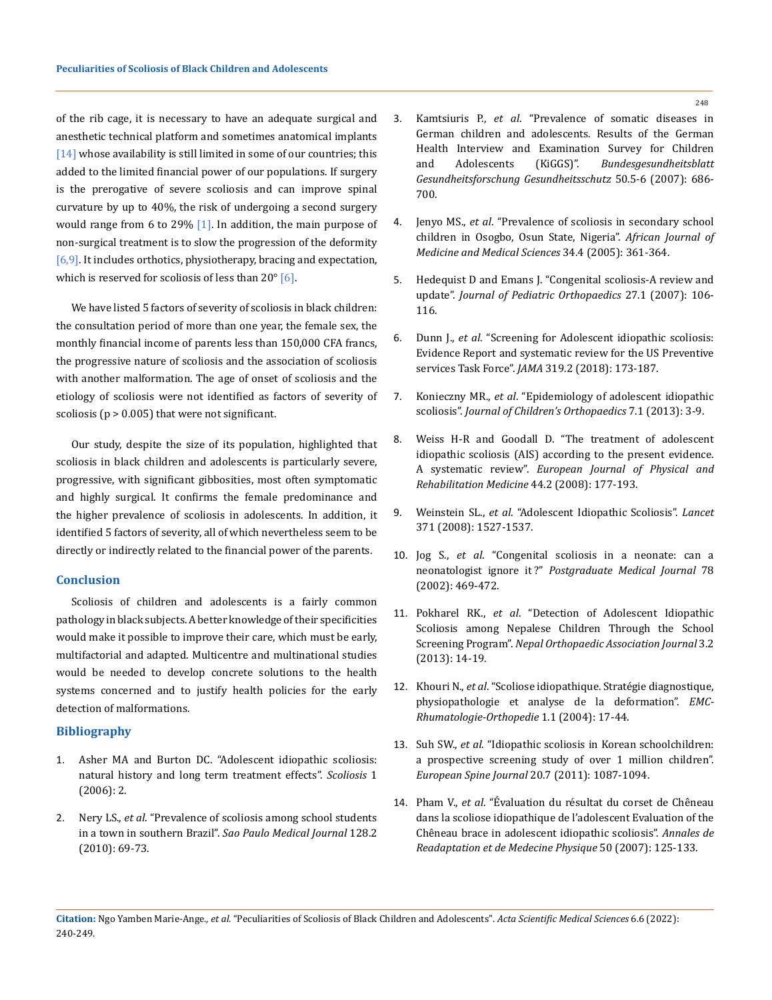of the rib cage, it is necessary to have an adequate surgical and anesthetic technical platform and sometimes anatomical implants [14] whose availability is still limited in some of our countries; this added to the limited financial power of our populations. If surgery is the prerogative of severe scoliosis and can improve spinal curvature by up to 40%, the risk of undergoing a second surgery would range from 6 to 29%  $[1]$ . In addition, the main purpose of non-surgical treatment is to slow the progression of the deformity  $[6,9]$ . It includes orthotics, physiotherapy, bracing and expectation, which is reserved for scoliosis of less than  $20^{\circ}$  [6].

We have listed 5 factors of severity of scoliosis in black children: the consultation period of more than one year, the female sex, the monthly financial income of parents less than 150,000 CFA francs, the progressive nature of scoliosis and the association of scoliosis with another malformation. The age of onset of scoliosis and the etiology of scoliosis were not identified as factors of severity of scoliosis ( $p > 0.005$ ) that were not significant.

Our study, despite the size of its population, highlighted that scoliosis in black children and adolescents is particularly severe, progressive, with significant gibbosities, most often symptomatic and highly surgical. It confirms the female predominance and the higher prevalence of scoliosis in adolescents. In addition, it identified 5 factors of severity, all of which nevertheless seem to be directly or indirectly related to the financial power of the parents.

## **Conclusion**

Scoliosis of children and adolescents is a fairly common pathology in black subjects. A better knowledge of their specificities would make it possible to improve their care, which must be early, multifactorial and adapted. Multicentre and multinational studies would be needed to develop concrete solutions to the health systems concerned and to justify health policies for the early detection of malformations.

## **Bibliography**

- 1. [Asher MA and Burton DC. "Adolescent idiopathic scoliosis:](https://pubmed.ncbi.nlm.nih.gov/16759428/)  [natural history and long term treatment effects".](https://pubmed.ncbi.nlm.nih.gov/16759428/) *Scoliosis* 1 [\(2006\): 2.](https://pubmed.ncbi.nlm.nih.gov/16759428/)
- 2. Nery LS., *et al*. "Prevalence of scoliosis among school students in a town in southern Brazil". *Sao Paulo Medical Journal* 128.2 (2010): 69-73.
- 3. Kamtsiuris P., *et al*[. "Prevalence of somatic diseases in](https://pubmed.ncbi.nlm.nih.gov/17514453/)  [German children and adolescents. Results of the German](https://pubmed.ncbi.nlm.nih.gov/17514453/)  [Health Interview and Examination Survey for Children](https://pubmed.ncbi.nlm.nih.gov/17514453/)  [and Adolescents \(KiGGS\)".](https://pubmed.ncbi.nlm.nih.gov/17514453/) *Bundesgesundheitsblatt [Gesundheitsforschung Gesundheitsschutz](https://pubmed.ncbi.nlm.nih.gov/17514453/)* 50.5-6 (2007): 686- [700.](https://pubmed.ncbi.nlm.nih.gov/17514453/)
- 4. Jenyo MS., *et al*. "Prevalence of scoliosis in secondary school children in Osogbo, Osun State, Nigeria". *African Journal of Medicine and Medical Sciences* 34.4 (2005): 361-364.
- 5. Hedequist D and Emans J. "Congenital scoliosis-A review and update". *Journal of Pediatric Orthopaedics* 27.1 (2007): 106- 116.
- 6. Dunn J., *et al*[. "Screening for Adolescent idiopathic scoliosis:](https://pubmed.ncbi.nlm.nih.gov/29318283/)  [Evidence Report and systematic review for the US Preventive](https://pubmed.ncbi.nlm.nih.gov/29318283/)  services Task Force". *JAMA* [319.2 \(2018\): 173-187.](https://pubmed.ncbi.nlm.nih.gov/29318283/)
- 7. Konieczny MR., *et al*[. "Epidemiology of adolescent idiopathic](https://www.ncbi.nlm.nih.gov/pmc/articles/PMC3566258/)  scoliosis". *[Journal of Children's Orthopaedics](https://www.ncbi.nlm.nih.gov/pmc/articles/PMC3566258/)* 7.1 (2013): 3-9.
- 8. [Weiss H-R and Goodall D. "The treatment of adolescent](https://www.researchgate.net/publication/5434988_The_treatment_of_adolescent_idiopathic_scoliosis_AIS_according_to_present_evidence_A_systematic_review)  [idiopathic scoliosis \(AIS\) according to the present evidence.](https://www.researchgate.net/publication/5434988_The_treatment_of_adolescent_idiopathic_scoliosis_AIS_according_to_present_evidence_A_systematic_review)  A systematic review". *[European Journal of Physical and](https://www.researchgate.net/publication/5434988_The_treatment_of_adolescent_idiopathic_scoliosis_AIS_according_to_present_evidence_A_systematic_review)  [Rehabilitation Medicine](https://www.researchgate.net/publication/5434988_The_treatment_of_adolescent_idiopathic_scoliosis_AIS_according_to_present_evidence_A_systematic_review)* 44.2 (2008): 177-193.
- 9. Weinstein SL., *et al*[. "Adolescent Idiopathic Scoliosis".](https://pubmed.ncbi.nlm.nih.gov/18456103/) *Lancet*  [371 \(2008\): 1527-1537.](https://pubmed.ncbi.nlm.nih.gov/18456103/)
- 10. Jog S., *et al*[. "Congenital scoliosis in a neonate: can a](https://pubmed.ncbi.nlm.nih.gov/12185219/)  neonatologist ignore it ?" *[Postgraduate Medical Journal](https://pubmed.ncbi.nlm.nih.gov/12185219/)* 78 [\(2002\): 469-472.](https://pubmed.ncbi.nlm.nih.gov/12185219/)
- 11. Pokharel RK., *et al*. "Detection of Adolescent Idiopathic Scoliosis among Nepalese Children Through the School Screening Program". *Nepal Orthopaedic Association Journal* 3.2 (2013): 14-19.
- 12. Khouri N., *et al*. "Scoliose idiopathique. Stratégie diagnostique, physiopathologie et analyse de la deformation". *EMC-Rhumatologie-Orthopedie* 1.1 (2004): 17-44.
- 13. Suh SW., *et al*. "Idiopathic scoliosis in Korean schoolchildren: a prospective screening study of over 1 million children". *European Spine Journal* 20.7 (2011): 1087-1094.
- 14. Pham V., *et al*[. "Évaluation du résultat du corset de Chêneau](https://www.sciencedirect.com/science/article/abs/pii/S016860540600328X)  [dans la scoliose idiopathique de l'adolescent Evaluation of the](https://www.sciencedirect.com/science/article/abs/pii/S016860540600328X)  [Chêneau brace in adolescent idiopathic scoliosis".](https://www.sciencedirect.com/science/article/abs/pii/S016860540600328X) *Annales de [Readaptation et de Medecine Physique](https://www.sciencedirect.com/science/article/abs/pii/S016860540600328X)* 50 (2007): 125-133.
- **Citation:** Ngo Yamben Marie-Ange*., et al.* "Peculiarities of Scoliosis of Black Children and Adolescents". *Acta Scientific Medical Sciences* 6.6 (2022): 240-249.